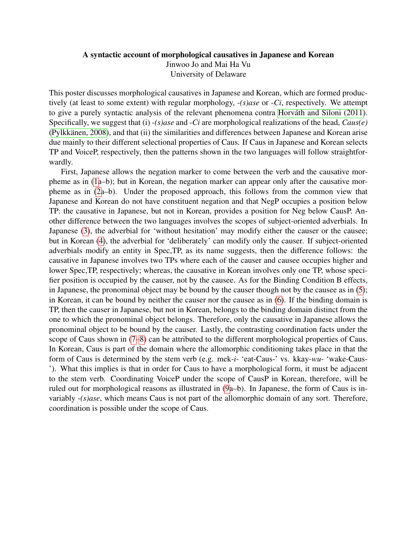## <span id="page-0-0"></span>A syntactic account of morphological causatives in Japanese and Korean

Jinwoo Jo and Mai Ha Vu

University of Delaware

This poster discusses morphological causatives in Japanese and Korean, which are formed productively (at least to some extent) with regular morphology, -*(s)ase* or -*Ci*, respectively. We attempt to give a purely syntactic analysis of the relevant phenomena contra Horváth and Siloni (2011). Specifically, we suggest that (i) -*(s)ase* and -*Ci* are morphological realizations of the head, *Caus(e)* (Pylkkänen, 2008), and that (ii) the similarities and differences between Japanese and Korean arise due mainly to their different selectional properties of Caus. If Caus in Japanese and Korean selects TP and VoiceP, respectively, then the patterns shown in the two languages will follow straightforwardly.

First, Japanese allows the negation marker to come between the verb and the causative morpheme as in [\(1a](#page-1-0)–b); but in Korean, the negation marker can appear only after the causative morpheme as in [\(2a](#page-1-1)–b). Under the proposed approach, this follows from the common view that Japanese and Korean do not have constituent negation and that NegP occupies a position below TP: the causative in Japanese, but not in Korean, provides a position for Neg below CausP. Another difference between the two languages involves the scopes of subject-oriented adverbials. In Japanese [\(3\)](#page-1-2), the adverbial for 'without hesitation' may modify either the causer or the causee; but in Korean [\(4\)](#page-1-3), the adverbial for 'deliberately' can modify only the causer. If subject-oriented adverbials modify an entity in Spec,TP, as its name suggests, then the difference follows: the causative in Japanese involves two TPs where each of the causer and causee occupies higher and lower Spec,TP, respectively; whereas, the causative in Korean involves only one TP, whose specifier position is occupied by the causer, not by the causee. As for the Binding Condition B effects, in Japanese, the pronominal object may be bound by the causer though not by the causee as in [\(5\)](#page-1-4); in Korean, it can be bound by neither the causer nor the causee as in [\(6\)](#page-1-5). If the binding domain is TP, then the causer in Japanese, but not in Korean, belongs to the binding domain distinct from the one to which the pronominal object belongs. Therefore, only the causative in Japanese allows the pronominal object to be bound by the causer. Lastly, the contrasting coordination facts under the scope of Caus shown in [\(7](#page-1-6)[–8\)](#page-1-7) can be attributed to the different morphological properties of Caus. In Korean, Caus is part of the domain where the allomorphic conditioning takes place in that the form of Caus is determined by the stem verb (e.g. mek-*i*- 'eat-Caus-' vs. kkay-*wu*- 'wake-Caus- '). What this implies is that in order for Caus to have a morphological form, it must be adjacent to the stem verb. Coordinating VoiceP under the scope of CausP in Korean, therefore, will be ruled out for morphological reasons as illustrated in [\(9a](#page-1-8)–b). In Japanese, the form of Caus is invariably -*(s)ase*, which means Caus is not part of the allomorphic domain of any sort. Therefore, coordination is possible under the scope of Caus.